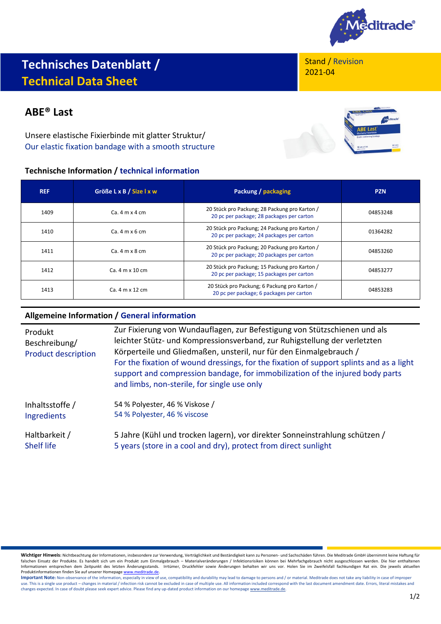

# **Technisches Datenblatt / Technical Data Sheet**

# **ABE® Last**

Unsere elastische Fixierbinde mit glatter Struktur/ Our elastic fixation bandage with a smooth structure

## **Technische Information / technical information**

Stand / Revision 2021-04



| <b>REF</b> | Größe L x B / Size I x w | Packung / packaging                                                                        | <b>PZN</b> |
|------------|--------------------------|--------------------------------------------------------------------------------------------|------------|
| 1409       | $Ca.4 m \times 4 cm$     | 20 Stück pro Packung; 28 Packung pro Karton /<br>20 pc per package; 28 packages per carton | 04853248   |
| 1410       | $Ca.4 m \times 6 cm$     | 20 Stück pro Packung; 24 Packung pro Karton /<br>20 pc per package; 24 packages per carton | 01364282   |
| 1411       | $Ca.4 m \times 8 cm$     | 20 Stück pro Packung; 20 Packung pro Karton /<br>20 pc per package; 20 packages per carton | 04853260   |
| 1412       | $Ca.4 m \times 10 cm$    | 20 Stück pro Packung; 15 Packung pro Karton /<br>20 pc per package; 15 packages per carton | 04853277   |
| 1413       | $Ca.4 m \times 12 cm$    | 20 Stück pro Packung; 6 Packung pro Karton /<br>20 pc per package; 6 packages per carton   | 04853283   |

### **Allgemeine Information / General information**

| Produkt<br>Beschreibung/<br><b>Product description</b> | Zur Fixierung von Wundauflagen, zur Befestigung von Stützschienen und als<br>leichter Stütz- und Kompressionsverband, zur Ruhigstellung der verletzten<br>Körperteile und Gliedmaßen, unsteril, nur für den Einmalgebrauch /<br>For the fixation of wound dressings, for the fixation of support splints and as a light<br>support and compression bandage, for immobilization of the injured body parts<br>and limbs, non-sterile, for single use only |
|--------------------------------------------------------|---------------------------------------------------------------------------------------------------------------------------------------------------------------------------------------------------------------------------------------------------------------------------------------------------------------------------------------------------------------------------------------------------------------------------------------------------------|
| Inhaltsstoffe /                                        | 54 % Polyester, 46 % Viskose /                                                                                                                                                                                                                                                                                                                                                                                                                          |
| Ingredients                                            | 54 % Polyester, 46 % viscose                                                                                                                                                                                                                                                                                                                                                                                                                            |
| Haltbarkeit /                                          | 5 Jahre (Kühl und trocken lagern), vor direkter Sonneinstrahlung schützen /                                                                                                                                                                                                                                                                                                                                                                             |
| <b>Shelf life</b>                                      | 5 years (store in a cool and dry), protect from direct sunlight                                                                                                                                                                                                                                                                                                                                                                                         |

Wichtiger Hinweis: Nichtbeachtung der Informationen, insbesondere zur Verwendung, Verträglichkeit und Beständigkeit kann zu Personen- und Sachschäden führen. Die Meditrade GmbH übernimmt keine Haftung für<br>falschen Einsatz Informationen entsprechen dem Zeitpunkt des letzten Änderungsstands. Irrtümer, Druckfehler sowie Änderungen behalten wir uns vor. Holen Sie im Zweifelsfall fachkundigen Rat ein. Die jeweils aktuellen Produktinformationen finden Sie auf unserer Homepag[e www.meditrade.de.](http://www.meditrade.de/)

Important Note: Non-observance of the information, especially in view of use, compatibility and durability may lead to damage to persons and / or material. Meditrade does not take any liability in case of improper use. This is a single use product – changes in material / infection risk cannot be excluded in case of multiple use. All information included correspond with the last document amendment date. Errors, literal mistakes and<br>c